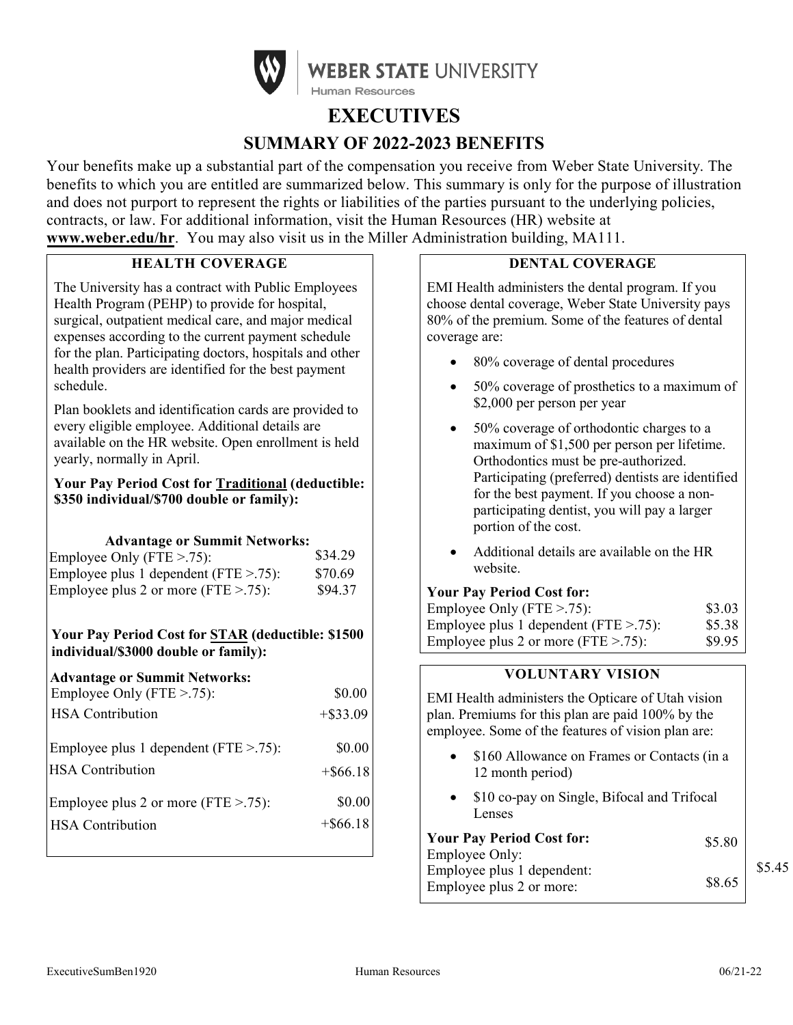

# **EXECUTIVES SUMMARY OF 2022-2023 BENEFITS**

Your benefits make up a substantial part of the compensation you receive from Weber State University. The benefits to which you are entitled are summarized below. This summary is only for the purpose of illustration and does not purport to represent the rights or liabilities of the parties pursuant to the underlying policies, contracts, or law. For additional information, visit the Human Resources (HR) website at **[www.weber.edu/hr](http://www.weber.edu/hr)**. You may also visit us in the Miller Administration building, MA111.

# **HEALTH COVERAGE**

The University has a contract with Public Employees Health Program (PEHP) to provide for hospital, surgical, outpatient medical care, and major medical expenses according to the current payment schedule for the plan. Participating doctors, hospitals and other health providers are identified for the best payment schedule.

Plan booklets and identification cards are provided to every eligible employee. Additional details are available on the HR website. Open enrollment is held yearly, normally in April.

## **Your Pay Period Cost for Traditional (deductible: \$350 individual/\$700 double or family):**

# **Advantage or Summit Networks:**

| Employee Only (FTE $> 0.75$ ):             | \$34.29 |
|--------------------------------------------|---------|
| Employee plus 1 dependent ( $FTE > .75$ ): | \$70.69 |
| Employee plus 2 or more (FTE $> .75$ ):    | \$94.37 |

# **Your Pay Period Cost for STAR (deductible: \$1500 individual/\$3000 double or family):**

| <b>Advantage or Summit Networks:</b>       |             |
|--------------------------------------------|-------------|
| Employee Only (FTE > 75):                  | \$0.00      |
| <b>HSA</b> Contribution                    | $+$ \$33.09 |
| Employee plus 1 dependent ( $FTE > .75$ ): | \$0.00      |
| <b>HSA</b> Contribution                    | $+$ \$66.18 |
| Employee plus 2 or more (FTE $> .75$ ):    | \$0.00      |
| <b>HSA</b> Contribution                    | $+$ \$66.18 |
|                                            |             |

# **DENTAL COVERAGE**

EMI Health administers the dental program. If you choose dental coverage, Weber State University pays 80% of the premium. Some of the features of dental coverage are:

- 80% coverage of dental procedures
- 50% coverage of prosthetics to a maximum of \$2,000 per person per year
- 50% coverage of orthodontic charges to a maximum of \$1,500 per person per lifetime. Orthodontics must be pre-authorized. Participating (preferred) dentists are identified for the best payment. If you choose a nonparticipating dentist, you will pay a larger portion of the cost.
- Additional details are available on the HR website.

#### **Your Pay Period Cost for:**

| Employee Only (FTE $> 75$ ):               | \$3.03 |
|--------------------------------------------|--------|
| Employee plus 1 dependent ( $FTE > .75$ ): | \$5.38 |
| Employee plus 2 or more (FTE $> .75$ ):    | \$9.95 |

# **VOLUNTARY VISION**

EMI Health administers the Opticare of Utah vision plan. Premiums for this plan are paid 100% by the employee. Some of the features of vision plan are:

- \$160 Allowance on Frames or Contacts (in a 12 month period)
- \$10 co-pay on Single, Bifocal and Trifocal Lenses

| <b>Your Pay Period Cost for:</b> | \$5.80 |        |
|----------------------------------|--------|--------|
| Employee Only:                   |        |        |
| Employee plus 1 dependent:       |        | \$5.45 |
| Employee plus 2 or more:         | \$8.65 |        |